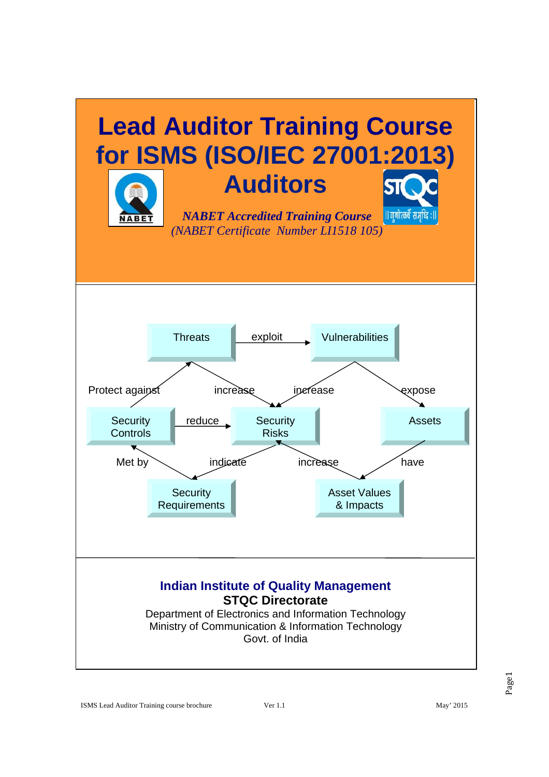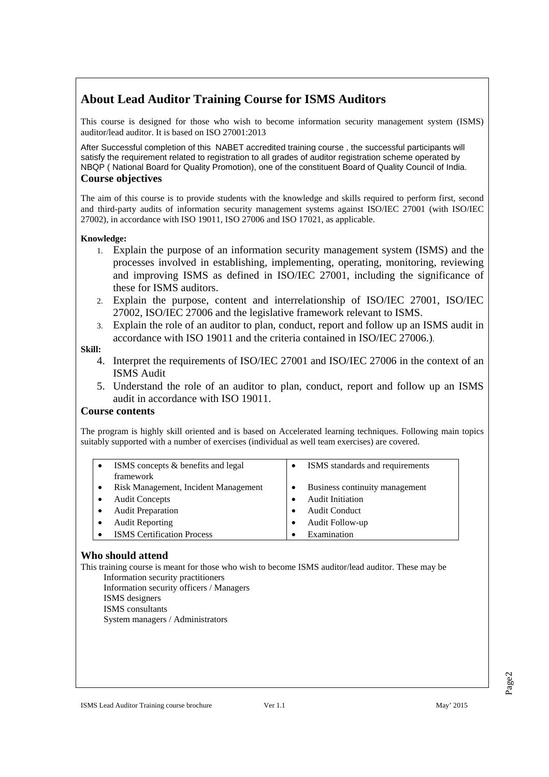# **About Lead Auditor Training Course for ISMS Auditors**

This course is designed for those who wish to become information security management system (ISMS) auditor/lead auditor. It is based on ISO 27001:2013

After Successful completion of this NABET accredited training course , the successful participants will satisfy the requirement related to registration to all grades of auditor registration scheme operated by NBQP ( National Board for Quality Promotion), one of the constituent Board of Quality Council of India. **Course objectives** 

The aim of this course is to provide students with the knowledge and skills required to perform first, second and third-party audits of information security management systems against ISO/IEC 27001 (with ISO/IEC 27002), in accordance with ISO 19011, ISO 27006 and ISO 17021, as applicable.

#### **Knowledge:**

- 1. Explain the purpose of an information security management system (ISMS) and the processes involved in establishing, implementing, operating, monitoring, reviewing and improving ISMS as defined in ISO/IEC 27001, including the significance of these for ISMS auditors.
- 2. Explain the purpose, content and interrelationship of ISO/IEC 27001, ISO/IEC 27002, ISO/IEC 27006 and the legislative framework relevant to ISMS.
- 3. Explain the role of an auditor to plan, conduct, report and follow up an ISMS audit in accordance with ISO 19011 and the criteria contained in ISO/IEC 27006.).

#### **Skill:**

- 4. Interpret the requirements of ISO/IEC 27001 and ISO/IEC 27006 in the context of an ISMS Audit
- 5. Understand the role of an auditor to plan, conduct, report and follow up an ISMS audit in accordance with ISO 19011.

## **Course contents**

The program is highly skill oriented and is based on Accelerated learning techniques. Following main topics suitably supported with a number of exercises (individual as well team exercises) are covered.

| ISMS concepts & benefits and legal   | ISMS standards and requirements |
|--------------------------------------|---------------------------------|
| framework                            |                                 |
| Risk Management, Incident Management | Business continuity management  |
| <b>Audit Concepts</b>                | <b>Audit Initiation</b>         |
| <b>Audit Preparation</b>             | <b>Audit Conduct</b>            |
| <b>Audit Reporting</b>               | Audit Follow-up                 |
| <b>ISMS</b> Certification Process    | Examination                     |

## **Who should attend**

This training course is meant for those who wish to become ISMS auditor/lead auditor. These may be Information security practitioners

 Information security officers / Managers ISMS designers

ISMS consultants

System managers / Administrators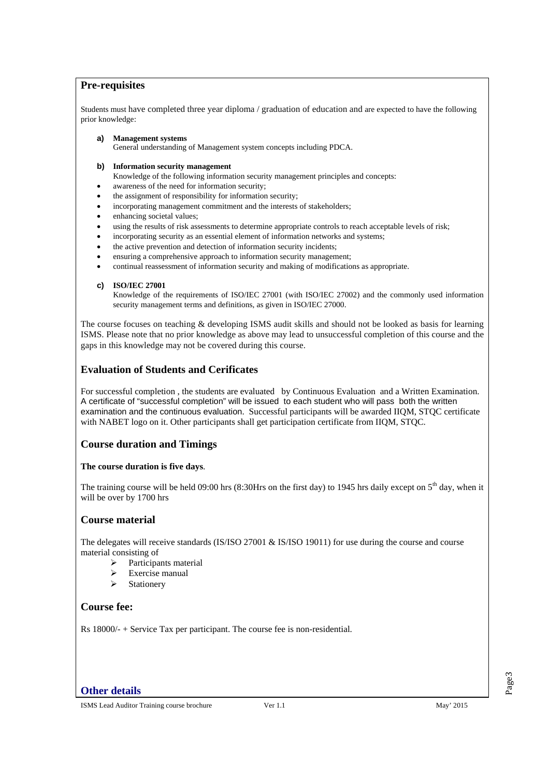#### **Pre-requisites**

Students must have completed three year diploma / graduation of education and are expected to have the following prior knowledge:

- **a) Management systems**  General understanding of Management system concepts including PDCA.
- **b) Information security management**
- Knowledge of the following information security management principles and concepts:
- awareness of the need for information security;
- the assignment of responsibility for information security;
- incorporating management commitment and the interests of stakeholders;
- enhancing societal values;
- using the results of risk assessments to determine appropriate controls to reach acceptable levels of risk;
- incorporating security as an essential element of information networks and systems;
- the active prevention and detection of information security incidents;
- ensuring a comprehensive approach to information security management;
- continual reassessment of information security and making of modifications as appropriate.

#### **c) ISO/IEC 27001**

Knowledge of the requirements of ISO/IEC 27001 (with ISO/IEC 27002) and the commonly used information security management terms and definitions, as given in ISO/IEC 27000.

The course focuses on teaching & developing ISMS audit skills and should not be looked as basis for learning ISMS. Please note that no prior knowledge as above may lead to unsuccessful completion of this course and the gaps in this knowledge may not be covered during this course.

## **Evaluation of Students and Cerificates**

For successful completion , the students are evaluated by Continuous Evaluation and a Written Examination. A certificate of "successful completion" will be issued to each student who will pass both the written examination and the continuous evaluation. Successful participants will be awarded IIQM, STQC certificate with NABET logo on it. Other participants shall get participation certificate from IIOM, STOC.

## **Course duration and Timings**

#### **The course duration is five days**.

The training course will be held 09:00 hrs (8:30Hrs on the first day) to 1945 hrs daily except on  $5<sup>th</sup>$  day, when it will be over by 1700 hrs

#### **Course material**

The delegates will receive standards (IS/ISO 27001 & IS/ISO 19011) for use during the course and course material consisting of

- ¾ Participants material
- $\triangleright$  Exercise manual
- $\triangleright$  Stationery

#### **Course fee:**

Rs 18000/- + Service Tax per participant. The course fee is non-residential.

#### **Other details**